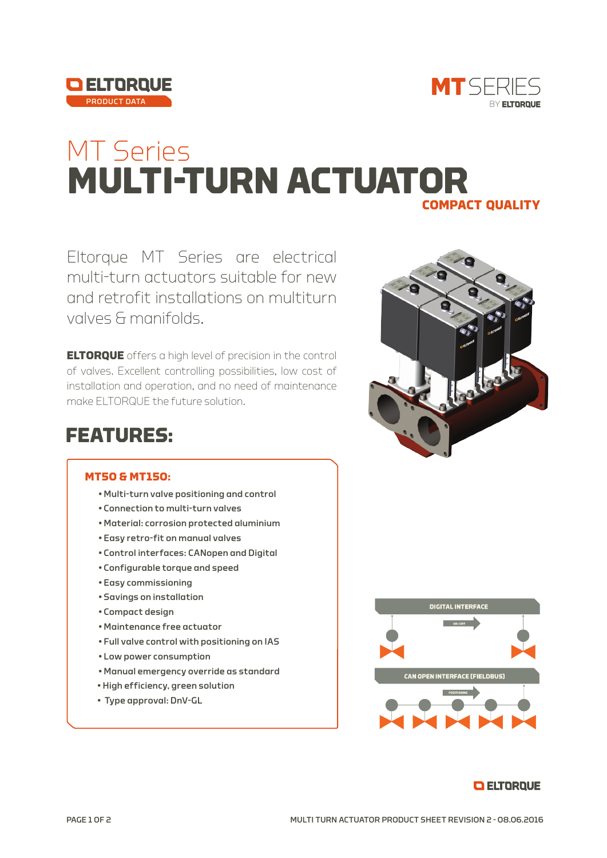



## **MULTI-TURN ACTUATOR** MT Series **compact quality**

Eltorque MT Series are electrical multi-turn actuators suitable for new and retrofit installations on multiturn valves & manifolds.

**ELTORQUE** offers a high level of precision in the control of valves. Excellent controlling possibilities, low cost of installation and operation, and no need of maintenance make ELTORQUE the future solution.

## **FEATURES:**

## **MT50 & MT150:**

- Multi-turn valve positioning and control
- Connection to multi-turn valves
- Material: corrosion protected aluminium
- Easy retro-fit on manual valves
- Control interfaces: CANopen and Digital
- Configurable torque and speed
- Easy commissioning
- Savings on installation
- Compact design
- Maintenance free actuator
- Full valve control with positioning on IAS
- Low power consumption
- Manual emergency override as standard
- High efficiency, green solution
- Type approval: DnV-GL